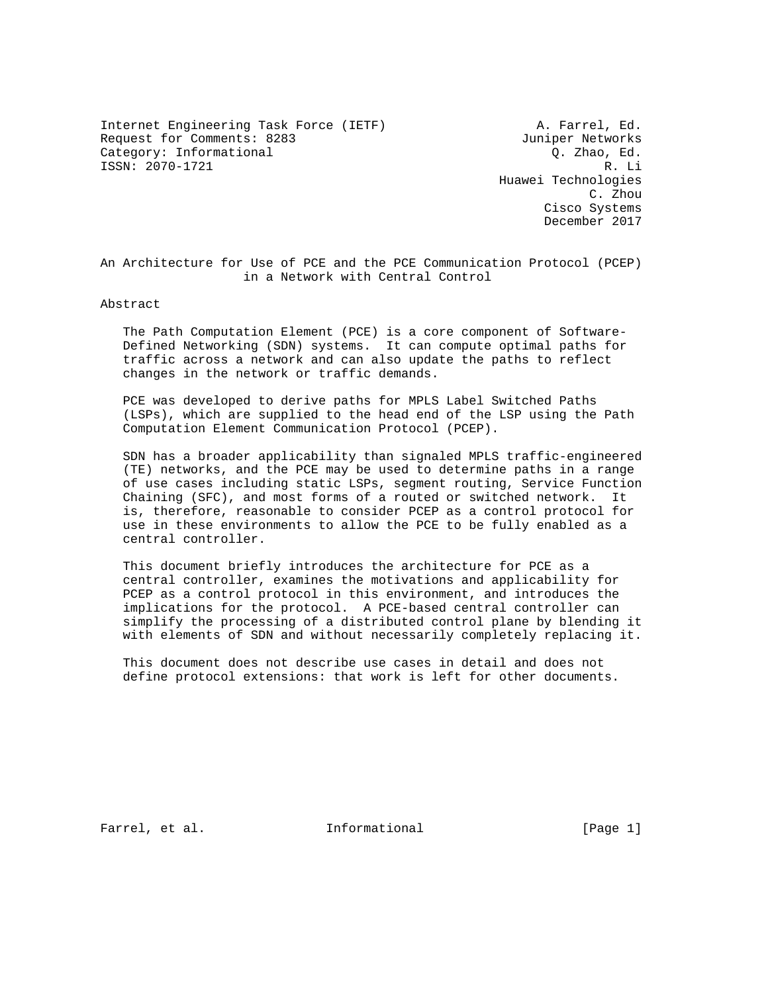Internet Engineering Task Force (IETF) A. Farrel, Ed. Request for Comments: 8283 Juniper Networks Category: Informational  $\overline{Q}$ . Zhao, Ed. ISSN: 2070-1721 R. Li

 Huawei Technologies C. Zhou Cisco Systems December 2017

An Architecture for Use of PCE and the PCE Communication Protocol (PCEP) in a Network with Central Control

Abstract

 The Path Computation Element (PCE) is a core component of Software- Defined Networking (SDN) systems. It can compute optimal paths for traffic across a network and can also update the paths to reflect changes in the network or traffic demands.

 PCE was developed to derive paths for MPLS Label Switched Paths (LSPs), which are supplied to the head end of the LSP using the Path Computation Element Communication Protocol (PCEP).

 SDN has a broader applicability than signaled MPLS traffic-engineered (TE) networks, and the PCE may be used to determine paths in a range of use cases including static LSPs, segment routing, Service Function Chaining (SFC), and most forms of a routed or switched network. It is, therefore, reasonable to consider PCEP as a control protocol for use in these environments to allow the PCE to be fully enabled as a central controller.

 This document briefly introduces the architecture for PCE as a central controller, examines the motivations and applicability for PCEP as a control protocol in this environment, and introduces the implications for the protocol. A PCE-based central controller can simplify the processing of a distributed control plane by blending it with elements of SDN and without necessarily completely replacing it.

 This document does not describe use cases in detail and does not define protocol extensions: that work is left for other documents.

Farrel, et al. 1nformational [Page 1]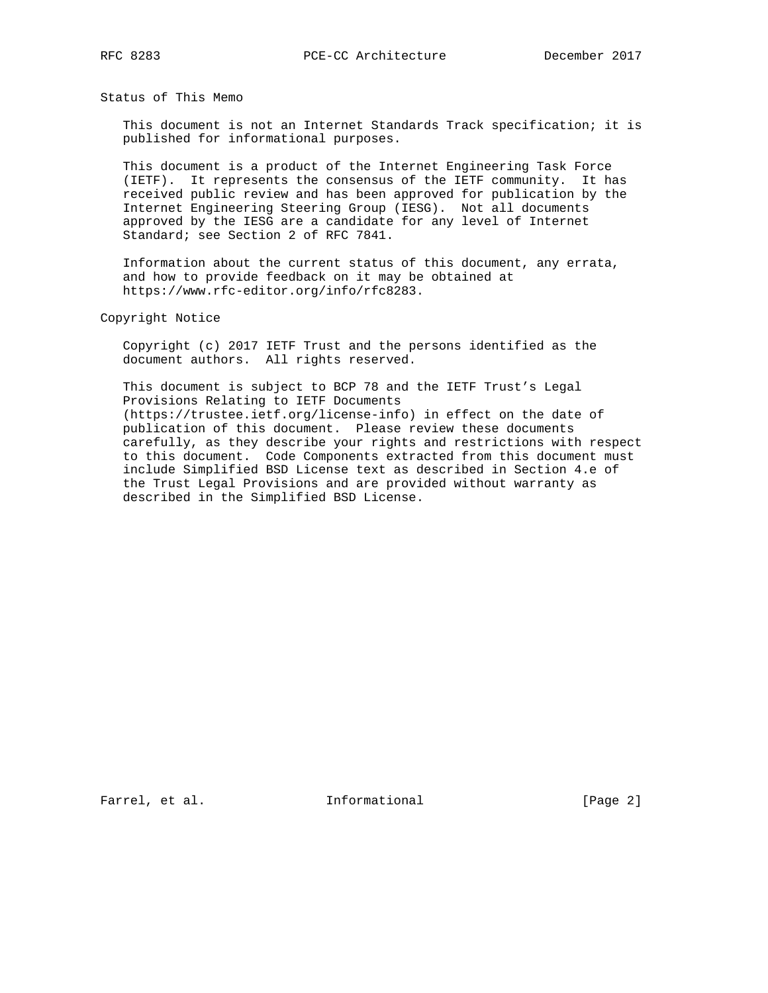Status of This Memo

 This document is not an Internet Standards Track specification; it is published for informational purposes.

 This document is a product of the Internet Engineering Task Force (IETF). It represents the consensus of the IETF community. It has received public review and has been approved for publication by the Internet Engineering Steering Group (IESG). Not all documents approved by the IESG are a candidate for any level of Internet Standard; see Section 2 of RFC 7841.

 Information about the current status of this document, any errata, and how to provide feedback on it may be obtained at https://www.rfc-editor.org/info/rfc8283.

Copyright Notice

 Copyright (c) 2017 IETF Trust and the persons identified as the document authors. All rights reserved.

 This document is subject to BCP 78 and the IETF Trust's Legal Provisions Relating to IETF Documents (https://trustee.ietf.org/license-info) in effect on the date of publication of this document. Please review these documents carefully, as they describe your rights and restrictions with respect to this document. Code Components extracted from this document must include Simplified BSD License text as described in Section 4.e of the Trust Legal Provisions and are provided without warranty as described in the Simplified BSD License.

Farrel, et al. 1nformational [Page 2]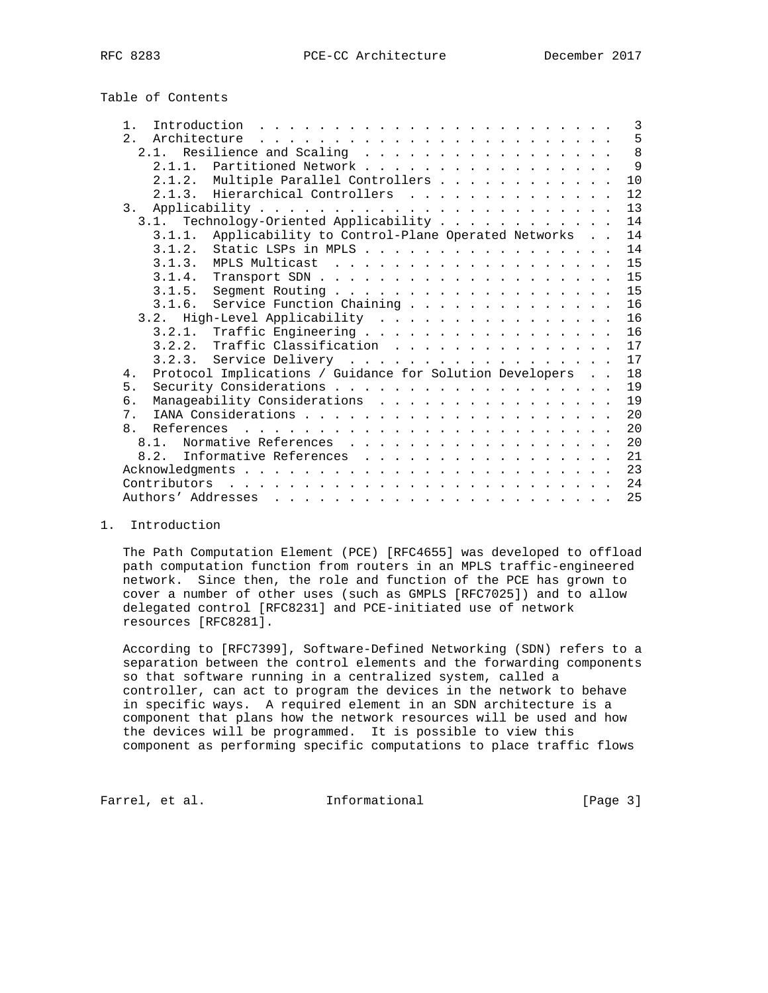# Table of Contents

| $1$ .<br>Introduction<br>$\mathbf{1} \quad \mathbf{1} \quad \mathbf{2} \quad \mathbf{3} \quad \mathbf{4} \quad \mathbf{5} \quad \mathbf{6} \quad \mathbf{7} \quad \mathbf{8} \quad \mathbf{9} \quad \mathbf{1} \quad \mathbf{1} \quad \mathbf{1} \quad \mathbf{1} \quad \mathbf{1} \quad \mathbf{1} \quad \mathbf{1} \quad \mathbf{1} \quad \mathbf{1} \quad \mathbf{1} \quad \mathbf{1} \quad \mathbf{1} \quad \mathbf{1} \quad \mathbf{1} \quad \mathbf{1} \quad \mathbf{1} \quad \mathbf{1} \quad \mathbf{$ | 3   |
|----------------------------------------------------------------------------------------------------------------------------------------------------------------------------------------------------------------------------------------------------------------------------------------------------------------------------------------------------------------------------------------------------------------------------------------------------------------------------------------------------------------|-----|
| 2.1<br>Architecture                                                                                                                                                                                                                                                                                                                                                                                                                                                                                            | 5   |
| 2.1. Resilience and Scaling                                                                                                                                                                                                                                                                                                                                                                                                                                                                                    | 8   |
| 2.1.1. Partitioned Network                                                                                                                                                                                                                                                                                                                                                                                                                                                                                     | - 9 |
| 2.1.2. Multiple Parallel Controllers                                                                                                                                                                                                                                                                                                                                                                                                                                                                           | 10  |
| 2.1.3. Hierarchical Controllers                                                                                                                                                                                                                                                                                                                                                                                                                                                                                | 12  |
| 3.                                                                                                                                                                                                                                                                                                                                                                                                                                                                                                             | 13  |
| Technology-Oriented Applicability<br>3.1.                                                                                                                                                                                                                                                                                                                                                                                                                                                                      | 14  |
| Applicability to Control-Plane Operated Networks<br>3.1.1.                                                                                                                                                                                                                                                                                                                                                                                                                                                     | 14  |
| Static LSPs in MPLS<br>3.1.2.                                                                                                                                                                                                                                                                                                                                                                                                                                                                                  | 14  |
|                                                                                                                                                                                                                                                                                                                                                                                                                                                                                                                | 15  |
|                                                                                                                                                                                                                                                                                                                                                                                                                                                                                                                | 15  |
|                                                                                                                                                                                                                                                                                                                                                                                                                                                                                                                | 15  |
| Service Function Chaining<br>3.1.6.                                                                                                                                                                                                                                                                                                                                                                                                                                                                            | 16  |
| 3.2. High-Level Applicability                                                                                                                                                                                                                                                                                                                                                                                                                                                                                  | 16  |
|                                                                                                                                                                                                                                                                                                                                                                                                                                                                                                                | 16  |
| 3.2.2. Traffic Classification                                                                                                                                                                                                                                                                                                                                                                                                                                                                                  | 17  |
| 3.2.3. Service Delivery                                                                                                                                                                                                                                                                                                                                                                                                                                                                                        | 17  |
| Protocol Implications / Guidance for Solution Developers<br>4.                                                                                                                                                                                                                                                                                                                                                                                                                                                 | 18  |
| 5.                                                                                                                                                                                                                                                                                                                                                                                                                                                                                                             | 19  |
| Manageability Considerations<br>б.                                                                                                                                                                                                                                                                                                                                                                                                                                                                             | 19  |
| 7 <sub>1</sub>                                                                                                                                                                                                                                                                                                                                                                                                                                                                                                 | 20  |
| 8 <sub>1</sub>                                                                                                                                                                                                                                                                                                                                                                                                                                                                                                 | 20  |
|                                                                                                                                                                                                                                                                                                                                                                                                                                                                                                                | 20  |
| Informative References<br>8.2.                                                                                                                                                                                                                                                                                                                                                                                                                                                                                 | 21  |
|                                                                                                                                                                                                                                                                                                                                                                                                                                                                                                                | 23  |
| Contributors<br>and the contract of the contract of the contract of the contract of the contract of the contract of the contract of the contract of the contract of the contract of the contract of the contract of the contract of the contra                                                                                                                                                                                                                                                                 | 24  |
|                                                                                                                                                                                                                                                                                                                                                                                                                                                                                                                | 25  |

1. Introduction

 The Path Computation Element (PCE) [RFC4655] was developed to offload path computation function from routers in an MPLS traffic-engineered network. Since then, the role and function of the PCE has grown to cover a number of other uses (such as GMPLS [RFC7025]) and to allow delegated control [RFC8231] and PCE-initiated use of network resources [RFC8281].

 According to [RFC7399], Software-Defined Networking (SDN) refers to a separation between the control elements and the forwarding components so that software running in a centralized system, called a controller, can act to program the devices in the network to behave in specific ways. A required element in an SDN architecture is a component that plans how the network resources will be used and how the devices will be programmed. It is possible to view this component as performing specific computations to place traffic flows

Farrel, et al. 1nformational 1999 [Page 3]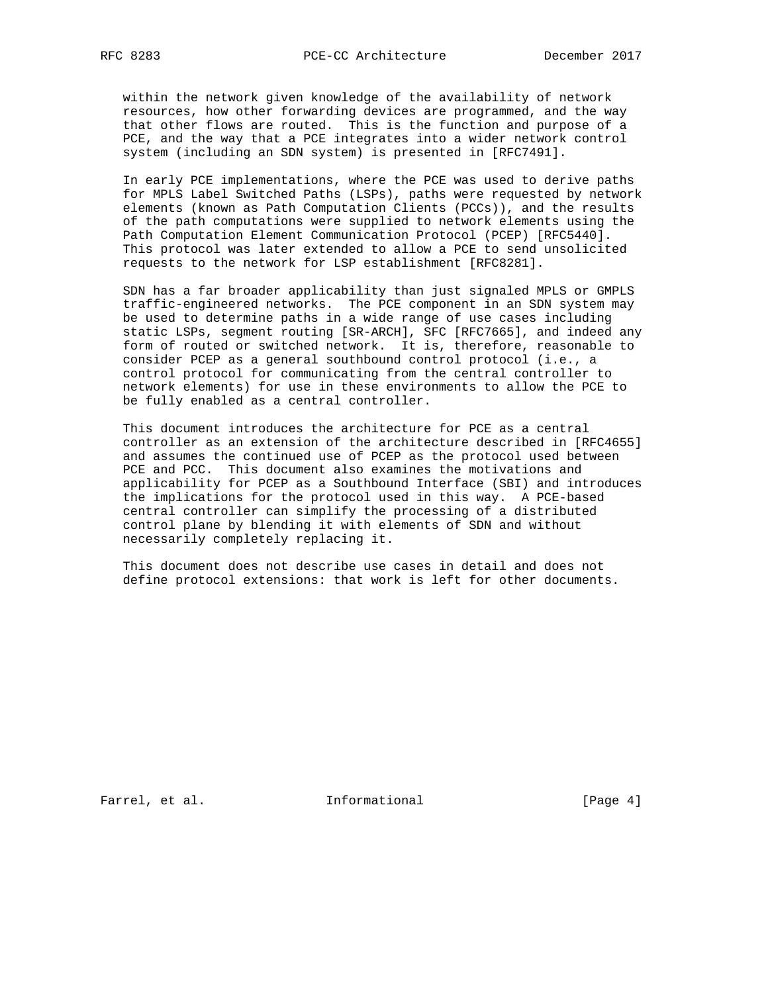within the network given knowledge of the availability of network resources, how other forwarding devices are programmed, and the way that other flows are routed. This is the function and purpose of a PCE, and the way that a PCE integrates into a wider network control system (including an SDN system) is presented in [RFC7491].

 In early PCE implementations, where the PCE was used to derive paths for MPLS Label Switched Paths (LSPs), paths were requested by network elements (known as Path Computation Clients (PCCs)), and the results of the path computations were supplied to network elements using the Path Computation Element Communication Protocol (PCEP) [RFC5440]. This protocol was later extended to allow a PCE to send unsolicited requests to the network for LSP establishment [RFC8281].

 SDN has a far broader applicability than just signaled MPLS or GMPLS traffic-engineered networks. The PCE component in an SDN system may be used to determine paths in a wide range of use cases including static LSPs, segment routing [SR-ARCH], SFC [RFC7665], and indeed any form of routed or switched network. It is, therefore, reasonable to consider PCEP as a general southbound control protocol (i.e., a control protocol for communicating from the central controller to network elements) for use in these environments to allow the PCE to be fully enabled as a central controller.

 This document introduces the architecture for PCE as a central controller as an extension of the architecture described in [RFC4655] and assumes the continued use of PCEP as the protocol used between PCE and PCC. This document also examines the motivations and applicability for PCEP as a Southbound Interface (SBI) and introduces the implications for the protocol used in this way. A PCE-based central controller can simplify the processing of a distributed control plane by blending it with elements of SDN and without necessarily completely replacing it.

 This document does not describe use cases in detail and does not define protocol extensions: that work is left for other documents.

Farrel, et al. 1nformational [Page 4]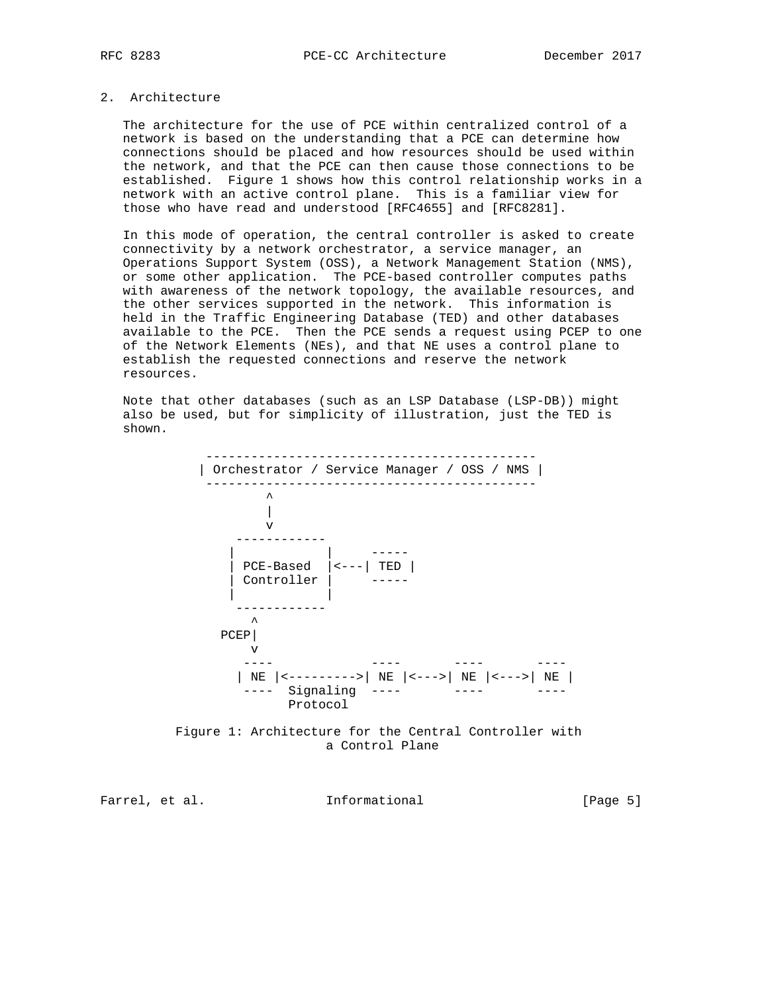# 2. Architecture

 The architecture for the use of PCE within centralized control of a network is based on the understanding that a PCE can determine how connections should be placed and how resources should be used within the network, and that the PCE can then cause those connections to be established. Figure 1 shows how this control relationship works in a network with an active control plane. This is a familiar view for those who have read and understood [RFC4655] and [RFC8281].

 In this mode of operation, the central controller is asked to create connectivity by a network orchestrator, a service manager, an Operations Support System (OSS), a Network Management Station (NMS), or some other application. The PCE-based controller computes paths with awareness of the network topology, the available resources, and the other services supported in the network. This information is held in the Traffic Engineering Database (TED) and other databases available to the PCE. Then the PCE sends a request using PCEP to one of the Network Elements (NEs), and that NE uses a control plane to establish the requested connections and reserve the network resources.

 Note that other databases (such as an LSP Database (LSP-DB)) might also be used, but for simplicity of illustration, just the TED is shown.





Farrel, et al. Informational [Page 5]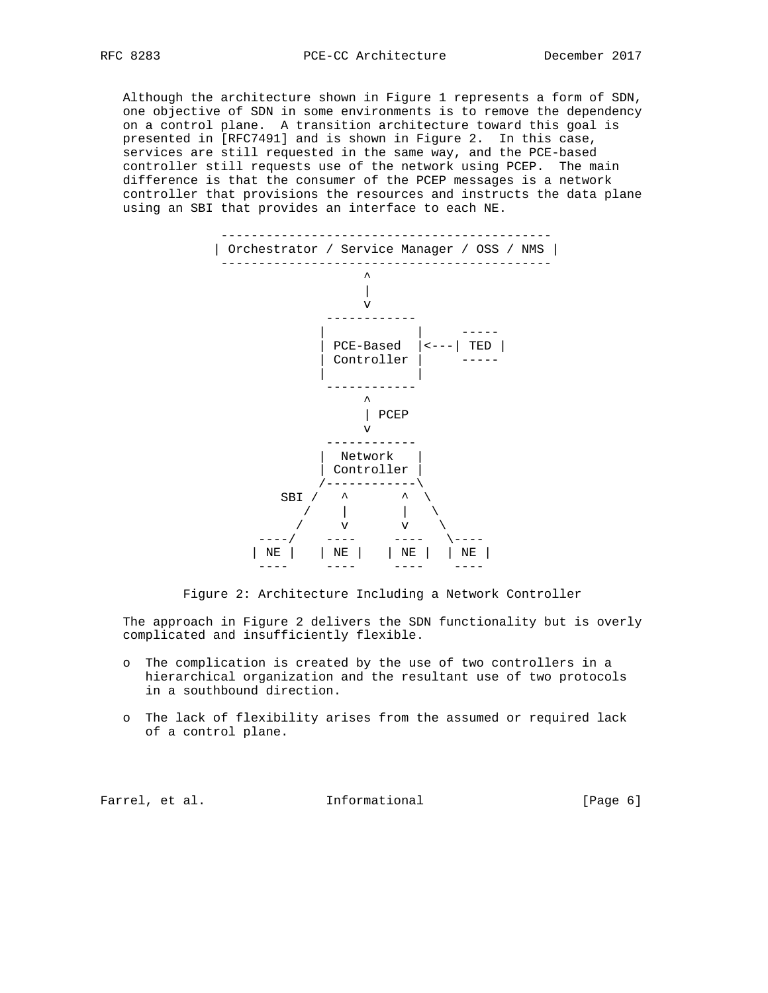Although the architecture shown in Figure 1 represents a form of SDN, one objective of SDN in some environments is to remove the dependency on a control plane. A transition architecture toward this goal is presented in [RFC7491] and is shown in Figure 2. In this case, services are still requested in the same way, and the PCE-based controller still requests use of the network using PCEP. The main difference is that the consumer of the PCEP messages is a network controller that provisions the resources and instructs the data plane using an SBI that provides an interface to each NE.



Figure 2: Architecture Including a Network Controller

 The approach in Figure 2 delivers the SDN functionality but is overly complicated and insufficiently flexible.

- o The complication is created by the use of two controllers in a hierarchical organization and the resultant use of two protocols in a southbound direction.
- o The lack of flexibility arises from the assumed or required lack of a control plane.

Farrel, et al. Informational [Page 6]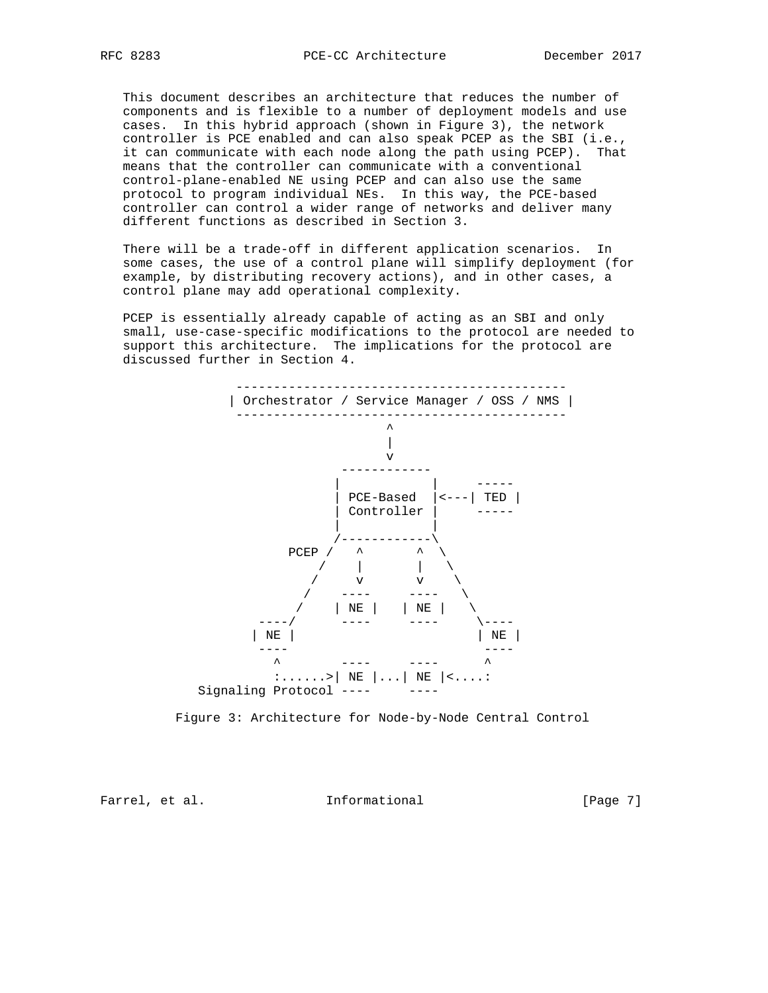This document describes an architecture that reduces the number of components and is flexible to a number of deployment models and use cases. In this hybrid approach (shown in Figure 3), the network controller is PCE enabled and can also speak PCEP as the SBI (i.e., it can communicate with each node along the path using PCEP). That means that the controller can communicate with a conventional control-plane-enabled NE using PCEP and can also use the same protocol to program individual NEs. In this way, the PCE-based controller can control a wider range of networks and deliver many different functions as described in Section 3.

 There will be a trade-off in different application scenarios. In some cases, the use of a control plane will simplify deployment (for example, by distributing recovery actions), and in other cases, a control plane may add operational complexity.

 PCEP is essentially already capable of acting as an SBI and only small, use-case-specific modifications to the protocol are needed to support this architecture. The implications for the protocol are discussed further in Section 4.



Figure 3: Architecture for Node-by-Node Central Control

Farrel, et al. 10 Informational 1999 [Page 7]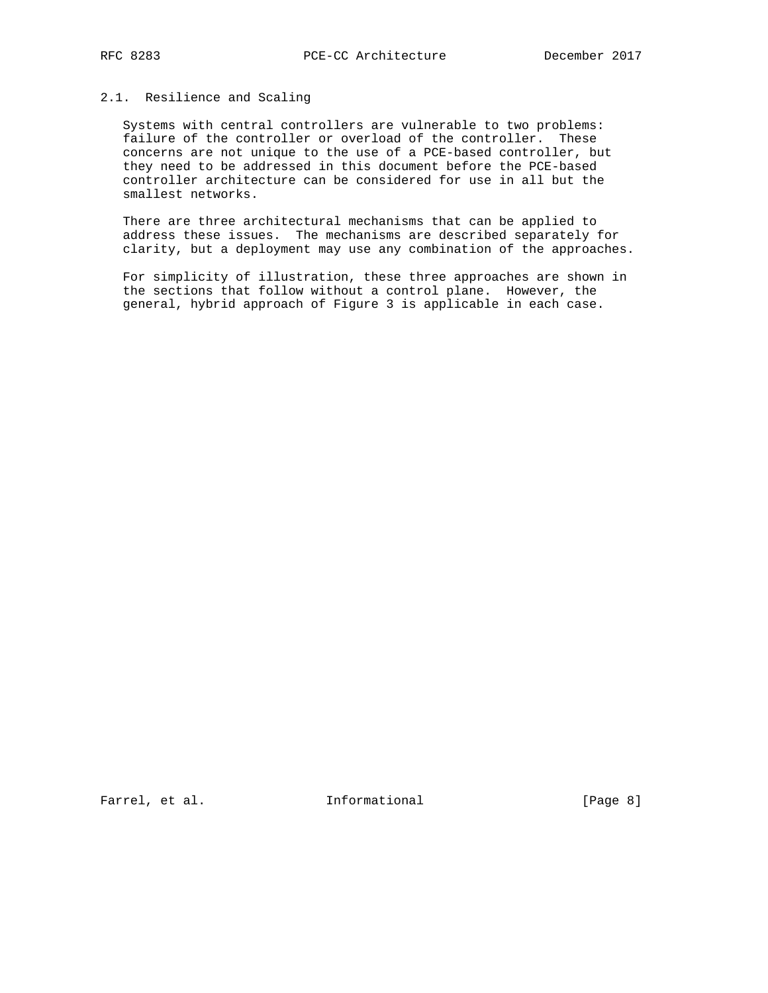## 2.1. Resilience and Scaling

 Systems with central controllers are vulnerable to two problems: failure of the controller or overload of the controller. These concerns are not unique to the use of a PCE-based controller, but they need to be addressed in this document before the PCE-based controller architecture can be considered for use in all but the smallest networks.

 There are three architectural mechanisms that can be applied to address these issues. The mechanisms are described separately for clarity, but a deployment may use any combination of the approaches.

 For simplicity of illustration, these three approaches are shown in the sections that follow without a control plane. However, the general, hybrid approach of Figure 3 is applicable in each case.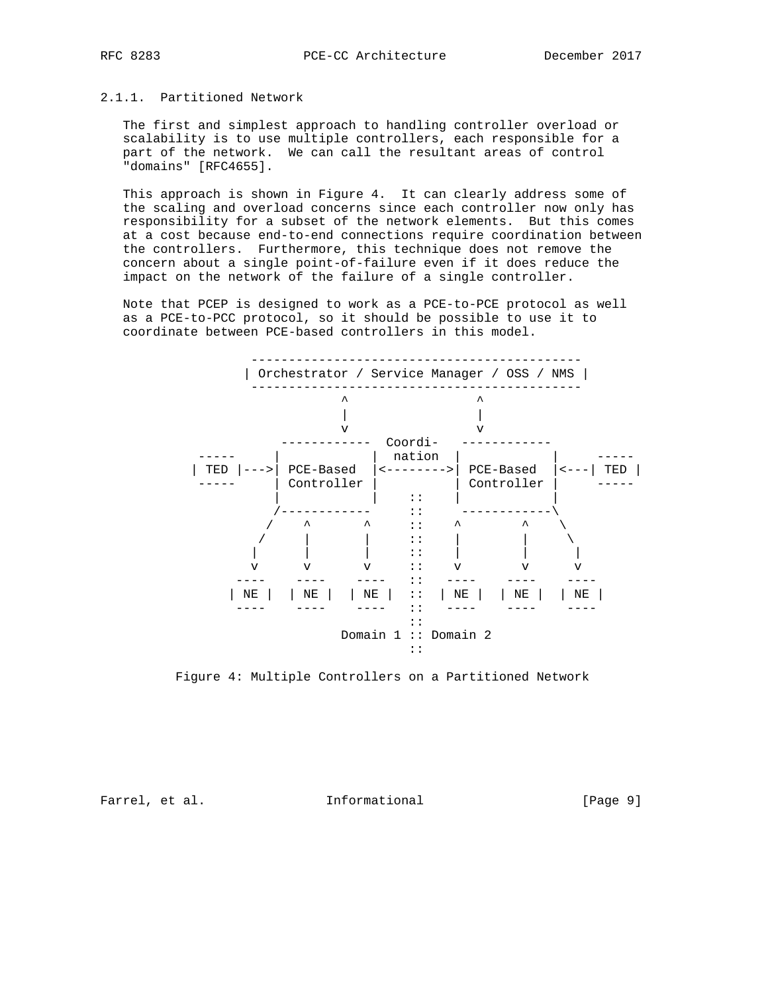## 2.1.1. Partitioned Network

 The first and simplest approach to handling controller overload or scalability is to use multiple controllers, each responsible for a part of the network. We can call the resultant areas of control "domains" [RFC4655].

 This approach is shown in Figure 4. It can clearly address some of the scaling and overload concerns since each controller now only has responsibility for a subset of the network elements. But this comes at a cost because end-to-end connections require coordination between the controllers. Furthermore, this technique does not remove the concern about a single point-of-failure even if it does reduce the impact on the network of the failure of a single controller.

 Note that PCEP is designed to work as a PCE-to-PCE protocol as well as a PCE-to-PCC protocol, so it should be possible to use it to coordinate between PCE-based controllers in this model.



Figure 4: Multiple Controllers on a Partitioned Network

Farrel, et al. 1nformational [Page 9]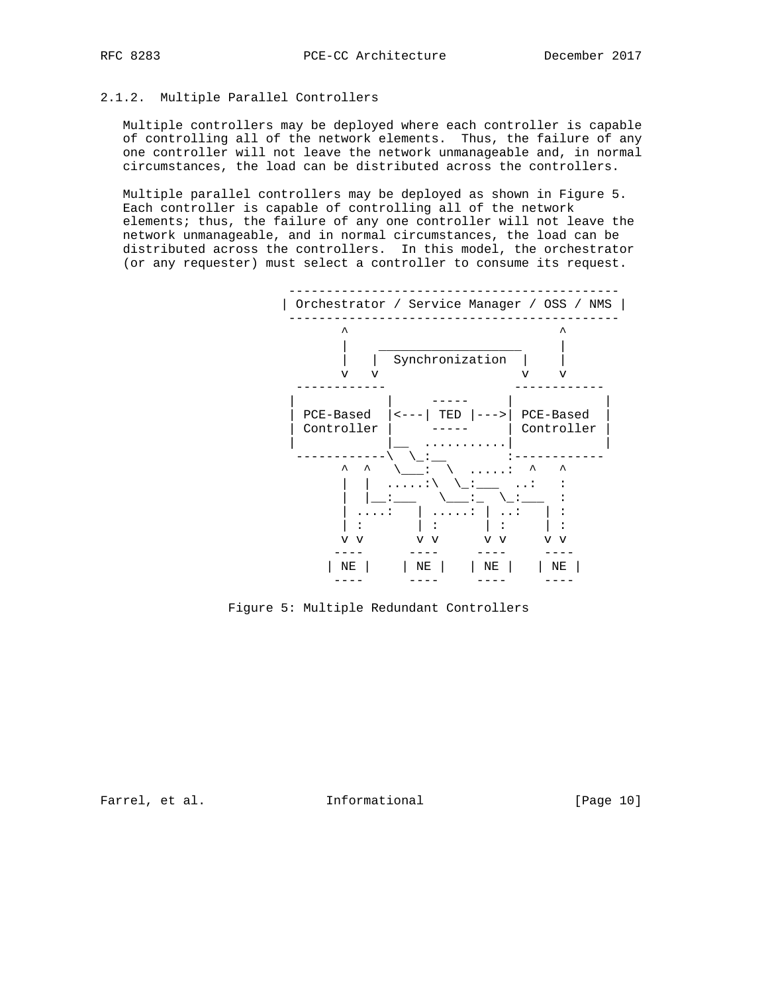# 2.1.2. Multiple Parallel Controllers

 Multiple controllers may be deployed where each controller is capable of controlling all of the network elements. Thus, the failure of any one controller will not leave the network unmanageable and, in normal circumstances, the load can be distributed across the controllers.

 Multiple parallel controllers may be deployed as shown in Figure 5. Each controller is capable of controlling all of the network elements; thus, the failure of any one controller will not leave the network unmanageable, and in normal circumstances, the load can be distributed across the controllers. In this model, the orchestrator (or any requester) must select a controller to consume its request.



Figure 5: Multiple Redundant Controllers

Farrel, et al. 1nformational [Page 10]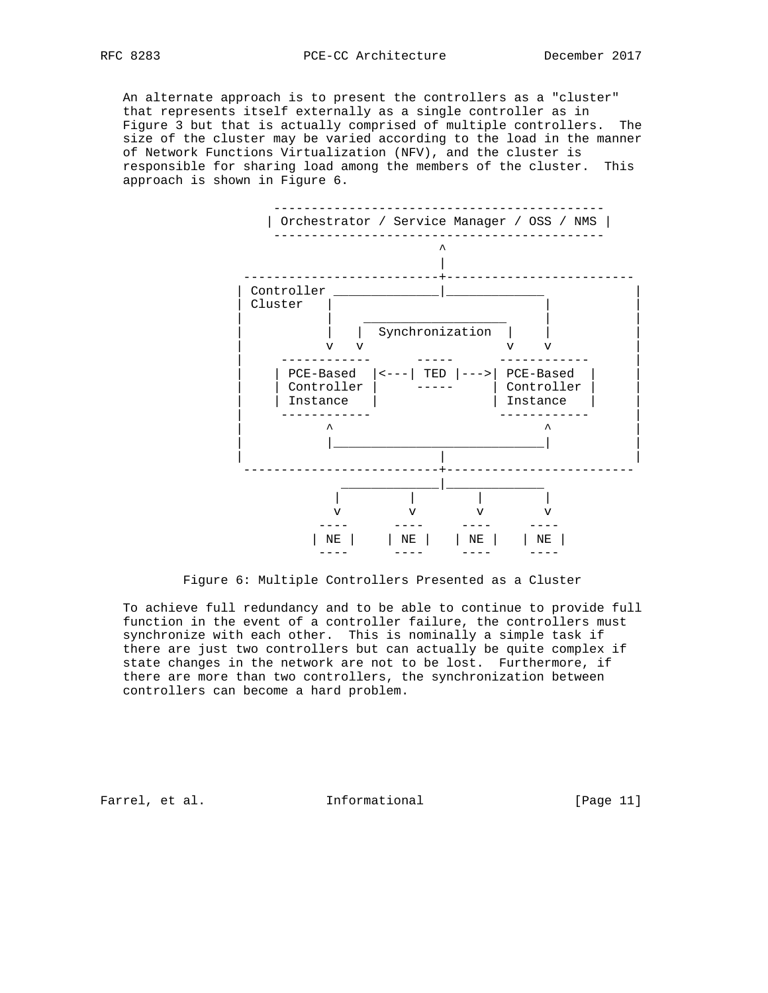An alternate approach is to present the controllers as a "cluster" that represents itself externally as a single controller as in Figure 3 but that is actually comprised of multiple controllers. The size of the cluster may be varied according to the load in the manner of Network Functions Virtualization (NFV), and the cluster is responsible for sharing load among the members of the cluster. This approach is shown in Figure 6.



Figure 6: Multiple Controllers Presented as a Cluster

 To achieve full redundancy and to be able to continue to provide full function in the event of a controller failure, the controllers must synchronize with each other. This is nominally a simple task if there are just two controllers but can actually be quite complex if state changes in the network are not to be lost. Furthermore, if there are more than two controllers, the synchronization between controllers can become a hard problem.

Farrel, et al. 1nformational [Page 11]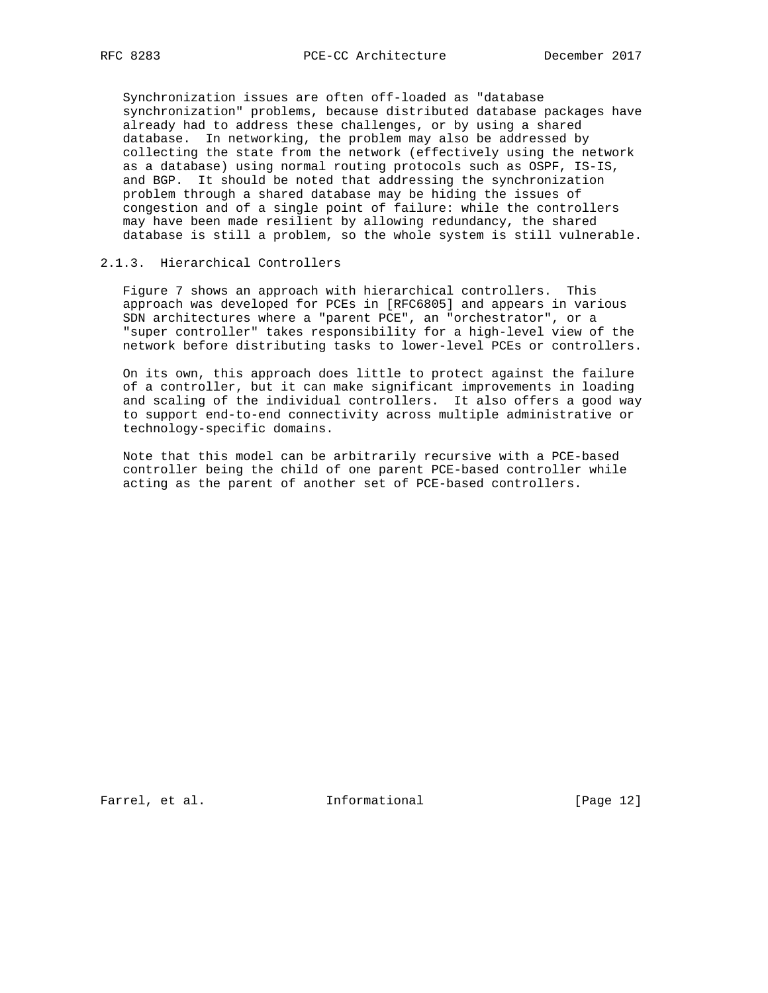Synchronization issues are often off-loaded as "database synchronization" problems, because distributed database packages have already had to address these challenges, or by using a shared database. In networking, the problem may also be addressed by collecting the state from the network (effectively using the network as a database) using normal routing protocols such as OSPF, IS-IS, and BGP. It should be noted that addressing the synchronization problem through a shared database may be hiding the issues of congestion and of a single point of failure: while the controllers may have been made resilient by allowing redundancy, the shared database is still a problem, so the whole system is still vulnerable.

# 2.1.3. Hierarchical Controllers

 Figure 7 shows an approach with hierarchical controllers. This approach was developed for PCEs in [RFC6805] and appears in various SDN architectures where a "parent PCE", an "orchestrator", or a "super controller" takes responsibility for a high-level view of the network before distributing tasks to lower-level PCEs or controllers.

 On its own, this approach does little to protect against the failure of a controller, but it can make significant improvements in loading and scaling of the individual controllers. It also offers a good way to support end-to-end connectivity across multiple administrative or technology-specific domains.

 Note that this model can be arbitrarily recursive with a PCE-based controller being the child of one parent PCE-based controller while acting as the parent of another set of PCE-based controllers.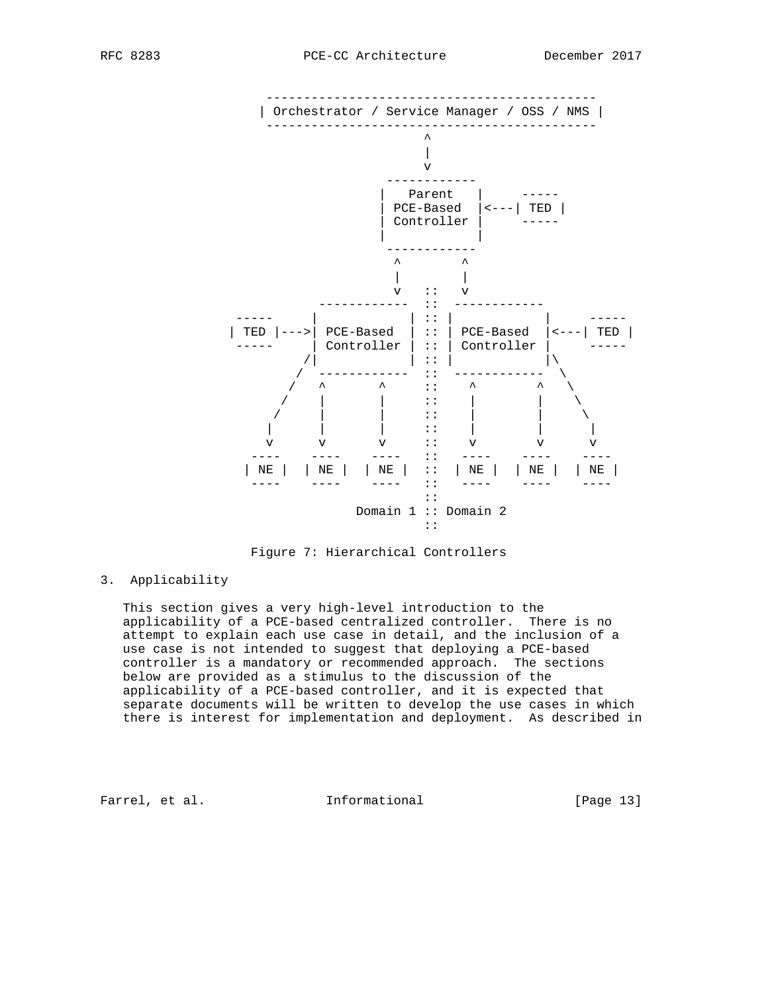

Figure 7: Hierarchical Controllers

### 3. Applicability

 This section gives a very high-level introduction to the applicability of a PCE-based centralized controller. There is no attempt to explain each use case in detail, and the inclusion of a use case is not intended to suggest that deploying a PCE-based controller is a mandatory or recommended approach. The sections below are provided as a stimulus to the discussion of the applicability of a PCE-based controller, and it is expected that separate documents will be written to develop the use cases in which there is interest for implementation and deployment. As described in

Farrel, et al. 1nformational [Page 13]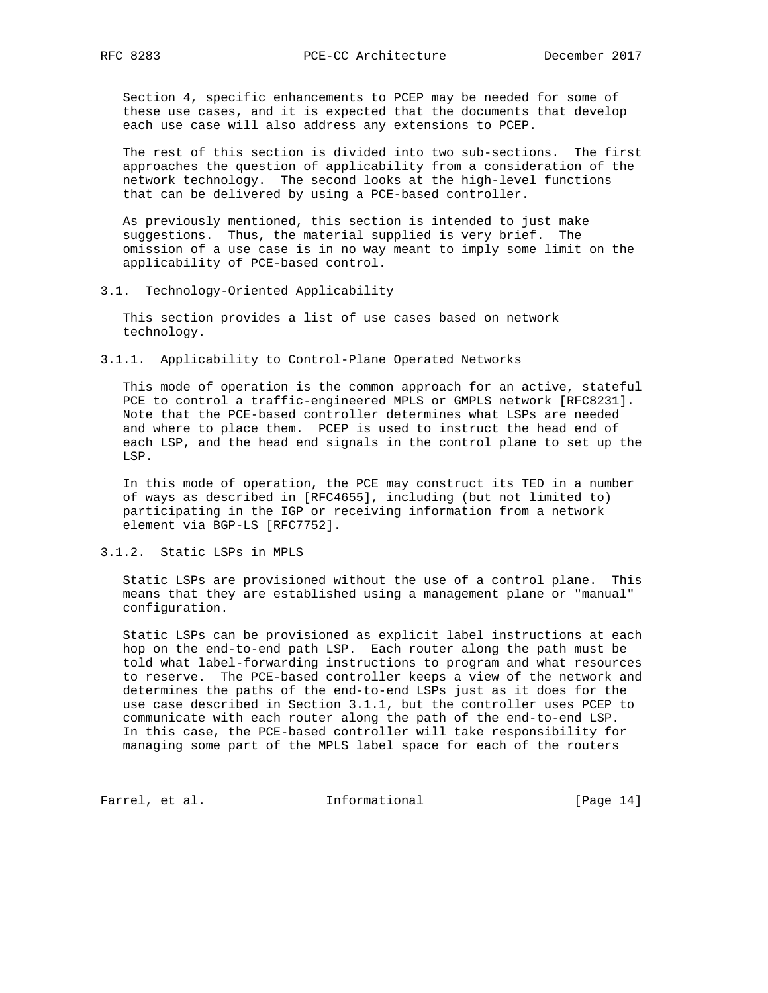Section 4, specific enhancements to PCEP may be needed for some of these use cases, and it is expected that the documents that develop each use case will also address any extensions to PCEP.

 The rest of this section is divided into two sub-sections. The first approaches the question of applicability from a consideration of the network technology. The second looks at the high-level functions that can be delivered by using a PCE-based controller.

 As previously mentioned, this section is intended to just make suggestions. Thus, the material supplied is very brief. The omission of a use case is in no way meant to imply some limit on the applicability of PCE-based control.

3.1. Technology-Oriented Applicability

 This section provides a list of use cases based on network technology.

3.1.1. Applicability to Control-Plane Operated Networks

 This mode of operation is the common approach for an active, stateful PCE to control a traffic-engineered MPLS or GMPLS network [RFC8231]. Note that the PCE-based controller determines what LSPs are needed and where to place them. PCEP is used to instruct the head end of each LSP, and the head end signals in the control plane to set up the LSP.

 In this mode of operation, the PCE may construct its TED in a number of ways as described in [RFC4655], including (but not limited to) participating in the IGP or receiving information from a network element via BGP-LS [RFC7752].

3.1.2. Static LSPs in MPLS

 Static LSPs are provisioned without the use of a control plane. This means that they are established using a management plane or "manual" configuration.

 Static LSPs can be provisioned as explicit label instructions at each hop on the end-to-end path LSP. Each router along the path must be told what label-forwarding instructions to program and what resources to reserve. The PCE-based controller keeps a view of the network and determines the paths of the end-to-end LSPs just as it does for the use case described in Section 3.1.1, but the controller uses PCEP to communicate with each router along the path of the end-to-end LSP. In this case, the PCE-based controller will take responsibility for managing some part of the MPLS label space for each of the routers

Farrel, et al. 1nformational [Page 14]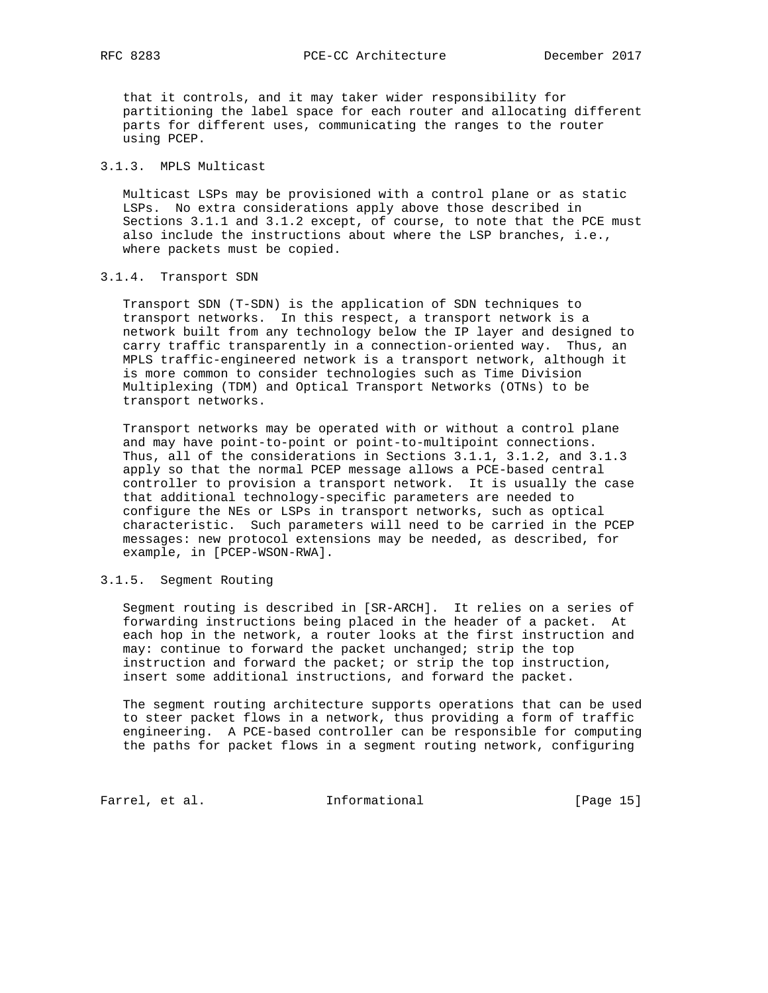that it controls, and it may taker wider responsibility for partitioning the label space for each router and allocating different parts for different uses, communicating the ranges to the router using PCEP.

# 3.1.3. MPLS Multicast

 Multicast LSPs may be provisioned with a control plane or as static LSPs. No extra considerations apply above those described in Sections 3.1.1 and 3.1.2 except, of course, to note that the PCE must also include the instructions about where the LSP branches, i.e., where packets must be copied.

#### 3.1.4. Transport SDN

 Transport SDN (T-SDN) is the application of SDN techniques to transport networks. In this respect, a transport network is a network built from any technology below the IP layer and designed to carry traffic transparently in a connection-oriented way. Thus, an MPLS traffic-engineered network is a transport network, although it is more common to consider technologies such as Time Division Multiplexing (TDM) and Optical Transport Networks (OTNs) to be transport networks.

 Transport networks may be operated with or without a control plane and may have point-to-point or point-to-multipoint connections. Thus, all of the considerations in Sections 3.1.1, 3.1.2, and 3.1.3 apply so that the normal PCEP message allows a PCE-based central controller to provision a transport network. It is usually the case that additional technology-specific parameters are needed to configure the NEs or LSPs in transport networks, such as optical characteristic. Such parameters will need to be carried in the PCEP messages: new protocol extensions may be needed, as described, for example, in [PCEP-WSON-RWA].

### 3.1.5. Segment Routing

 Segment routing is described in [SR-ARCH]. It relies on a series of forwarding instructions being placed in the header of a packet. At each hop in the network, a router looks at the first instruction and may: continue to forward the packet unchanged; strip the top instruction and forward the packet; or strip the top instruction, insert some additional instructions, and forward the packet.

 The segment routing architecture supports operations that can be used to steer packet flows in a network, thus providing a form of traffic engineering. A PCE-based controller can be responsible for computing the paths for packet flows in a segment routing network, configuring

Farrel, et al. 1nformational [Page 15]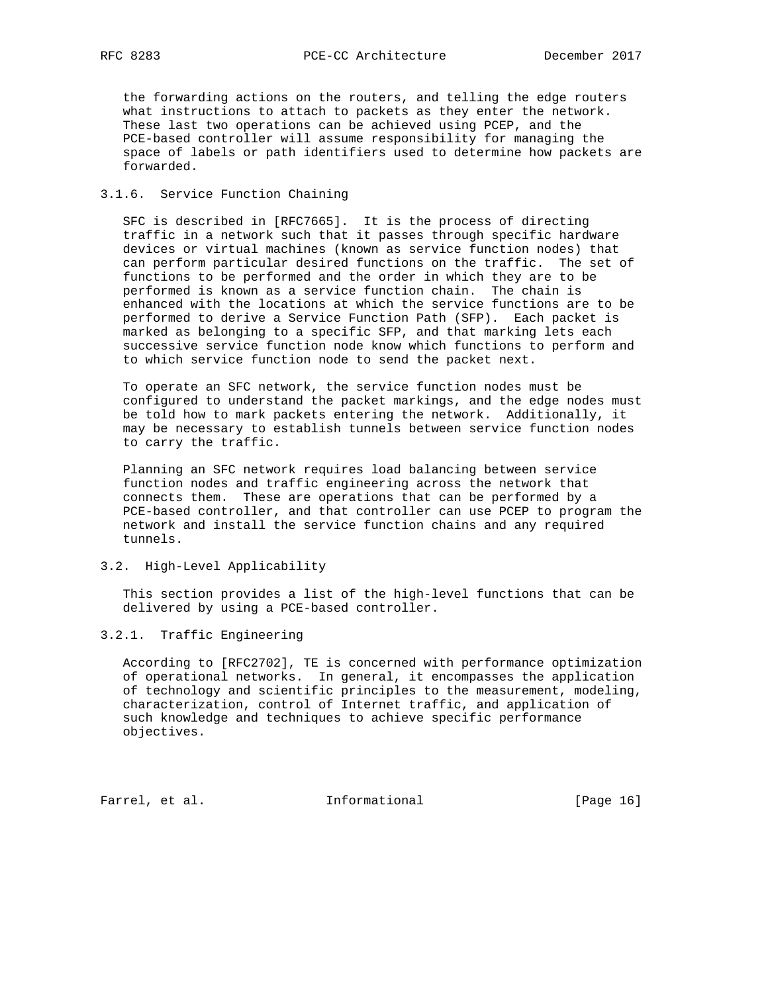the forwarding actions on the routers, and telling the edge routers what instructions to attach to packets as they enter the network. These last two operations can be achieved using PCEP, and the PCE-based controller will assume responsibility for managing the space of labels or path identifiers used to determine how packets are forwarded.

### 3.1.6. Service Function Chaining

 SFC is described in [RFC7665]. It is the process of directing traffic in a network such that it passes through specific hardware devices or virtual machines (known as service function nodes) that can perform particular desired functions on the traffic. The set of functions to be performed and the order in which they are to be performed is known as a service function chain. The chain is enhanced with the locations at which the service functions are to be performed to derive a Service Function Path (SFP). Each packet is marked as belonging to a specific SFP, and that marking lets each successive service function node know which functions to perform and to which service function node to send the packet next.

 To operate an SFC network, the service function nodes must be configured to understand the packet markings, and the edge nodes must be told how to mark packets entering the network. Additionally, it may be necessary to establish tunnels between service function nodes to carry the traffic.

 Planning an SFC network requires load balancing between service function nodes and traffic engineering across the network that connects them. These are operations that can be performed by a PCE-based controller, and that controller can use PCEP to program the network and install the service function chains and any required tunnels.

#### 3.2. High-Level Applicability

 This section provides a list of the high-level functions that can be delivered by using a PCE-based controller.

#### 3.2.1. Traffic Engineering

 According to [RFC2702], TE is concerned with performance optimization of operational networks. In general, it encompasses the application of technology and scientific principles to the measurement, modeling, characterization, control of Internet traffic, and application of such knowledge and techniques to achieve specific performance objectives.

Farrel, et al. 1nformational [Page 16]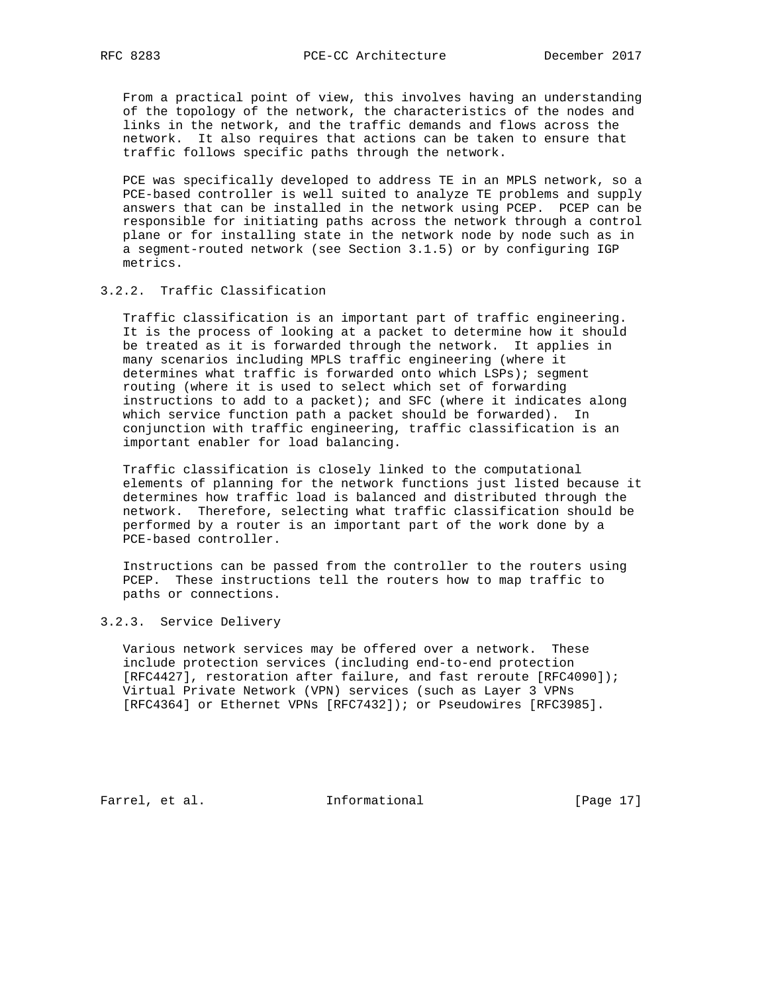From a practical point of view, this involves having an understanding of the topology of the network, the characteristics of the nodes and links in the network, and the traffic demands and flows across the network. It also requires that actions can be taken to ensure that traffic follows specific paths through the network.

 PCE was specifically developed to address TE in an MPLS network, so a PCE-based controller is well suited to analyze TE problems and supply answers that can be installed in the network using PCEP. PCEP can be responsible for initiating paths across the network through a control plane or for installing state in the network node by node such as in a segment-routed network (see Section 3.1.5) or by configuring IGP metrics.

## 3.2.2. Traffic Classification

 Traffic classification is an important part of traffic engineering. It is the process of looking at a packet to determine how it should be treated as it is forwarded through the network. It applies in many scenarios including MPLS traffic engineering (where it determines what traffic is forwarded onto which LSPs); segment routing (where it is used to select which set of forwarding instructions to add to a packet); and SFC (where it indicates along which service function path a packet should be forwarded). In conjunction with traffic engineering, traffic classification is an important enabler for load balancing.

 Traffic classification is closely linked to the computational elements of planning for the network functions just listed because it determines how traffic load is balanced and distributed through the network. Therefore, selecting what traffic classification should be performed by a router is an important part of the work done by a PCE-based controller.

 Instructions can be passed from the controller to the routers using PCEP. These instructions tell the routers how to map traffic to paths or connections.

#### 3.2.3. Service Delivery

 Various network services may be offered over a network. These include protection services (including end-to-end protection [RFC4427], restoration after failure, and fast reroute [RFC4090]); Virtual Private Network (VPN) services (such as Layer 3 VPNs [RFC4364] or Ethernet VPNs [RFC7432]); or Pseudowires [RFC3985].

Farrel, et al. 1nformational [Page 17]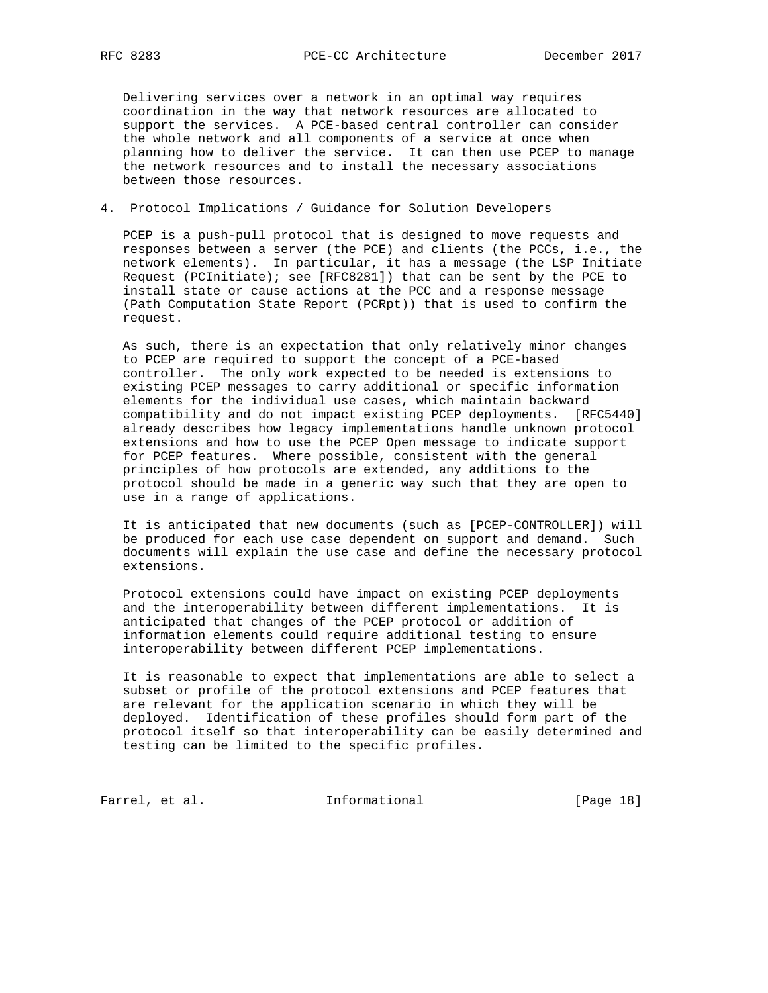Delivering services over a network in an optimal way requires coordination in the way that network resources are allocated to support the services. A PCE-based central controller can consider the whole network and all components of a service at once when planning how to deliver the service. It can then use PCEP to manage the network resources and to install the necessary associations between those resources.

## 4. Protocol Implications / Guidance for Solution Developers

 PCEP is a push-pull protocol that is designed to move requests and responses between a server (the PCE) and clients (the PCCs, i.e., the network elements). In particular, it has a message (the LSP Initiate Request (PCInitiate); see [RFC8281]) that can be sent by the PCE to install state or cause actions at the PCC and a response message (Path Computation State Report (PCRpt)) that is used to confirm the request.

 As such, there is an expectation that only relatively minor changes to PCEP are required to support the concept of a PCE-based controller. The only work expected to be needed is extensions to existing PCEP messages to carry additional or specific information elements for the individual use cases, which maintain backward compatibility and do not impact existing PCEP deployments. [RFC5440] already describes how legacy implementations handle unknown protocol extensions and how to use the PCEP Open message to indicate support for PCEP features. Where possible, consistent with the general principles of how protocols are extended, any additions to the protocol should be made in a generic way such that they are open to use in a range of applications.

 It is anticipated that new documents (such as [PCEP-CONTROLLER]) will be produced for each use case dependent on support and demand. Such documents will explain the use case and define the necessary protocol extensions.

 Protocol extensions could have impact on existing PCEP deployments and the interoperability between different implementations. It is anticipated that changes of the PCEP protocol or addition of information elements could require additional testing to ensure interoperability between different PCEP implementations.

 It is reasonable to expect that implementations are able to select a subset or profile of the protocol extensions and PCEP features that are relevant for the application scenario in which they will be deployed. Identification of these profiles should form part of the protocol itself so that interoperability can be easily determined and testing can be limited to the specific profiles.

Farrel, et al. 1nformational [Page 18]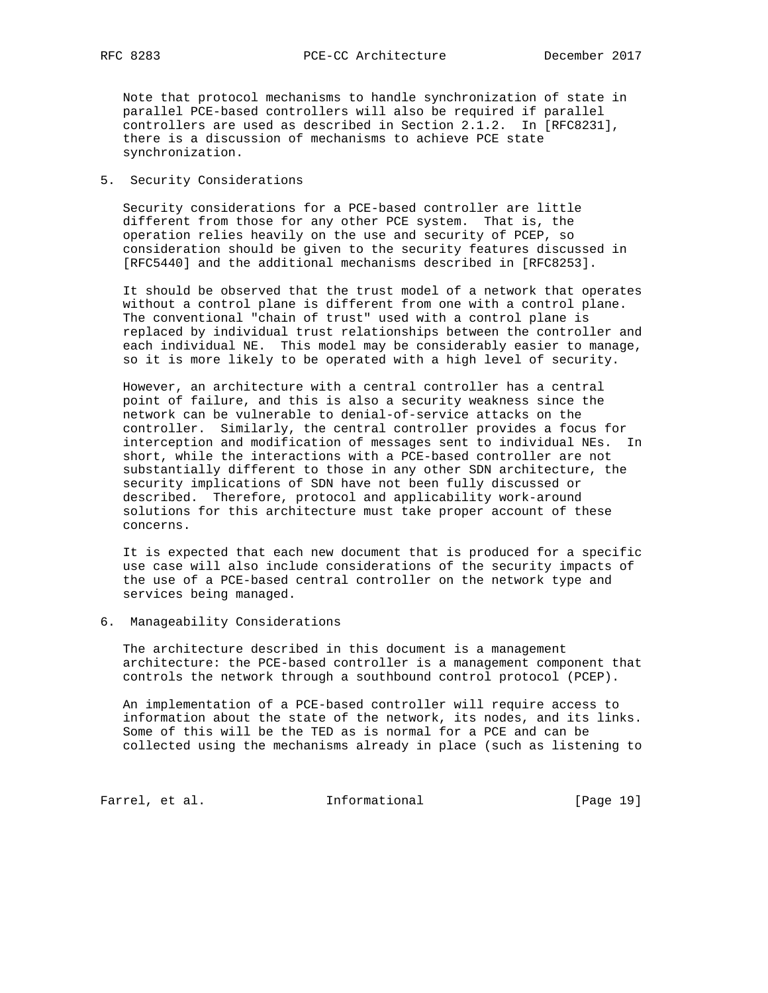Note that protocol mechanisms to handle synchronization of state in parallel PCE-based controllers will also be required if parallel controllers are used as described in Section 2.1.2. In [RFC8231], there is a discussion of mechanisms to achieve PCE state synchronization.

### 5. Security Considerations

 Security considerations for a PCE-based controller are little different from those for any other PCE system. That is, the operation relies heavily on the use and security of PCEP, so consideration should be given to the security features discussed in [RFC5440] and the additional mechanisms described in [RFC8253].

 It should be observed that the trust model of a network that operates without a control plane is different from one with a control plane. The conventional "chain of trust" used with a control plane is replaced by individual trust relationships between the controller and each individual NE. This model may be considerably easier to manage, so it is more likely to be operated with a high level of security.

 However, an architecture with a central controller has a central point of failure, and this is also a security weakness since the network can be vulnerable to denial-of-service attacks on the controller. Similarly, the central controller provides a focus for interception and modification of messages sent to individual NEs. In short, while the interactions with a PCE-based controller are not substantially different to those in any other SDN architecture, the security implications of SDN have not been fully discussed or described. Therefore, protocol and applicability work-around solutions for this architecture must take proper account of these concerns.

 It is expected that each new document that is produced for a specific use case will also include considerations of the security impacts of the use of a PCE-based central controller on the network type and services being managed.

6. Manageability Considerations

 The architecture described in this document is a management architecture: the PCE-based controller is a management component that controls the network through a southbound control protocol (PCEP).

 An implementation of a PCE-based controller will require access to information about the state of the network, its nodes, and its links. Some of this will be the TED as is normal for a PCE and can be collected using the mechanisms already in place (such as listening to

Farrel, et al. 1nformational [Page 19]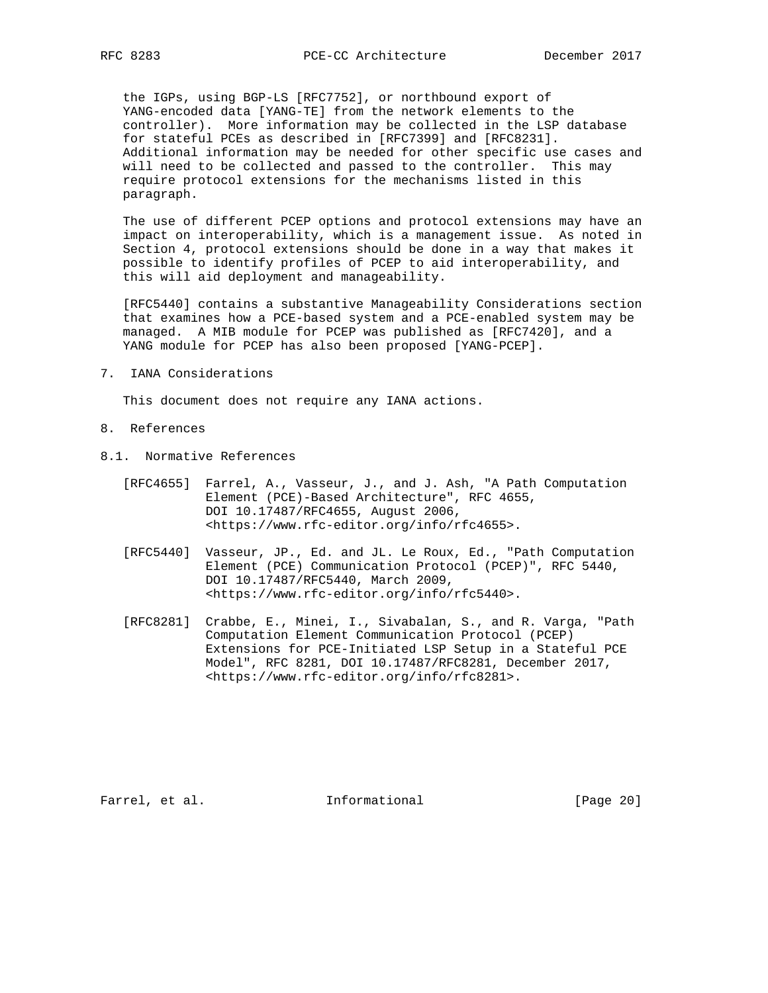the IGPs, using BGP-LS [RFC7752], or northbound export of YANG-encoded data [YANG-TE] from the network elements to the controller). More information may be collected in the LSP database for stateful PCEs as described in [RFC7399] and [RFC8231]. Additional information may be needed for other specific use cases and will need to be collected and passed to the controller. This may require protocol extensions for the mechanisms listed in this paragraph.

 The use of different PCEP options and protocol extensions may have an impact on interoperability, which is a management issue. As noted in Section 4, protocol extensions should be done in a way that makes it possible to identify profiles of PCEP to aid interoperability, and this will aid deployment and manageability.

 [RFC5440] contains a substantive Manageability Considerations section that examines how a PCE-based system and a PCE-enabled system may be managed. A MIB module for PCEP was published as [RFC7420], and a YANG module for PCEP has also been proposed [YANG-PCEP].

7. IANA Considerations

This document does not require any IANA actions.

- 8. References
- 8.1. Normative References
	- [RFC4655] Farrel, A., Vasseur, J., and J. Ash, "A Path Computation Element (PCE)-Based Architecture", RFC 4655, DOI 10.17487/RFC4655, August 2006, <https://www.rfc-editor.org/info/rfc4655>.
	- [RFC5440] Vasseur, JP., Ed. and JL. Le Roux, Ed., "Path Computation Element (PCE) Communication Protocol (PCEP)", RFC 5440, DOI 10.17487/RFC5440, March 2009, <https://www.rfc-editor.org/info/rfc5440>.
	- [RFC8281] Crabbe, E., Minei, I., Sivabalan, S., and R. Varga, "Path Computation Element Communication Protocol (PCEP) Extensions for PCE-Initiated LSP Setup in a Stateful PCE Model", RFC 8281, DOI 10.17487/RFC8281, December 2017, <https://www.rfc-editor.org/info/rfc8281>.

Farrel, et al. 1nformational [Page 20]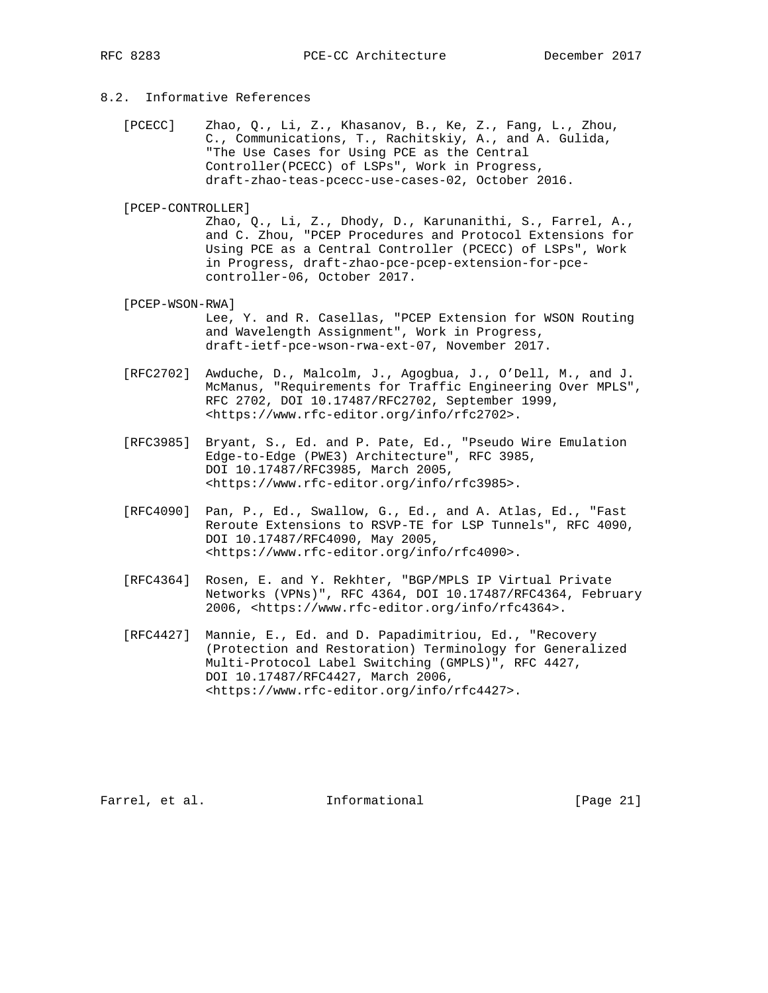#### 8.2. Informative References

- [PCECC] Zhao, Q., Li, Z., Khasanov, B., Ke, Z., Fang, L., Zhou, C., Communications, T., Rachitskiy, A., and A. Gulida, "The Use Cases for Using PCE as the Central Controller(PCECC) of LSPs", Work in Progress, draft-zhao-teas-pcecc-use-cases-02, October 2016.
- [PCEP-CONTROLLER]

 Zhao, Q., Li, Z., Dhody, D., Karunanithi, S., Farrel, A., and C. Zhou, "PCEP Procedures and Protocol Extensions for Using PCE as a Central Controller (PCECC) of LSPs", Work in Progress, draft-zhao-pce-pcep-extension-for-pce controller-06, October 2017.

[PCEP-WSON-RWA]

 Lee, Y. and R. Casellas, "PCEP Extension for WSON Routing and Wavelength Assignment", Work in Progress, draft-ietf-pce-wson-rwa-ext-07, November 2017.

- [RFC2702] Awduche, D., Malcolm, J., Agogbua, J., O'Dell, M., and J. McManus, "Requirements for Traffic Engineering Over MPLS", RFC 2702, DOI 10.17487/RFC2702, September 1999, <https://www.rfc-editor.org/info/rfc2702>.
- [RFC3985] Bryant, S., Ed. and P. Pate, Ed., "Pseudo Wire Emulation Edge-to-Edge (PWE3) Architecture", RFC 3985, DOI 10.17487/RFC3985, March 2005, <https://www.rfc-editor.org/info/rfc3985>.
	- [RFC4090] Pan, P., Ed., Swallow, G., Ed., and A. Atlas, Ed., "Fast Reroute Extensions to RSVP-TE for LSP Tunnels", RFC 4090, DOI 10.17487/RFC4090, May 2005, <https://www.rfc-editor.org/info/rfc4090>.
	- [RFC4364] Rosen, E. and Y. Rekhter, "BGP/MPLS IP Virtual Private Networks (VPNs)", RFC 4364, DOI 10.17487/RFC4364, February 2006, <https://www.rfc-editor.org/info/rfc4364>.
	- [RFC4427] Mannie, E., Ed. and D. Papadimitriou, Ed., "Recovery (Protection and Restoration) Terminology for Generalized Multi-Protocol Label Switching (GMPLS)", RFC 4427, DOI 10.17487/RFC4427, March 2006, <https://www.rfc-editor.org/info/rfc4427>.

Farrel, et al. 1nformational [Page 21]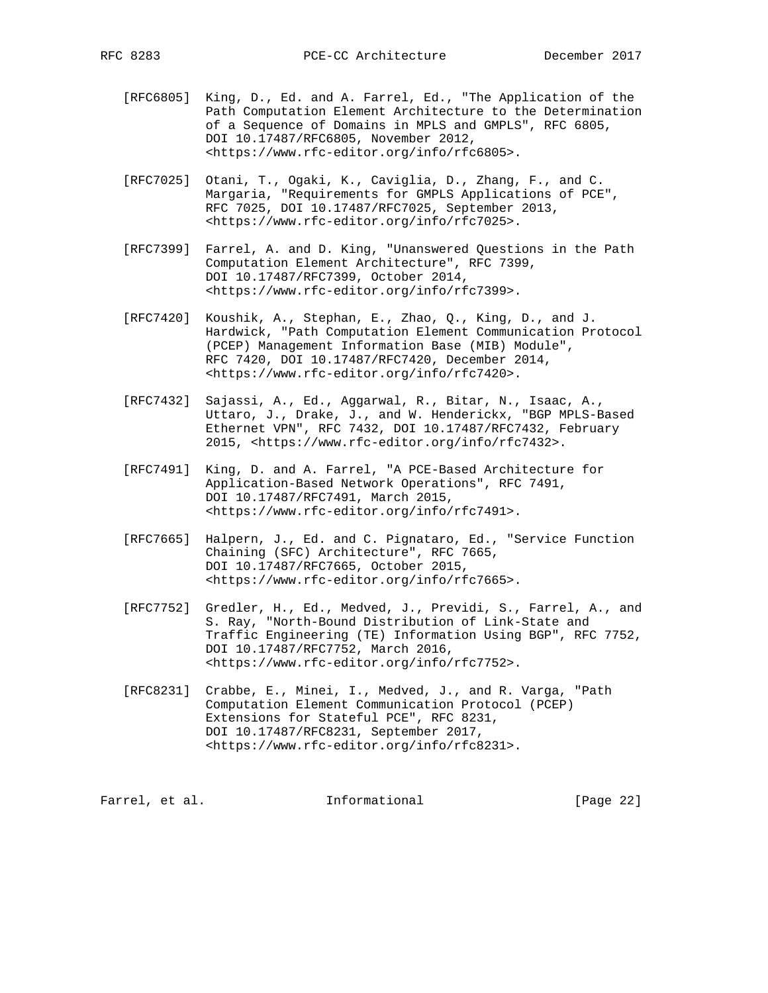- [RFC6805] King, D., Ed. and A. Farrel, Ed., "The Application of the Path Computation Element Architecture to the Determination of a Sequence of Domains in MPLS and GMPLS", RFC 6805, DOI 10.17487/RFC6805, November 2012, <https://www.rfc-editor.org/info/rfc6805>.
- [RFC7025] Otani, T., Ogaki, K., Caviglia, D., Zhang, F., and C. Margaria, "Requirements for GMPLS Applications of PCE", RFC 7025, DOI 10.17487/RFC7025, September 2013, <https://www.rfc-editor.org/info/rfc7025>.
- [RFC7399] Farrel, A. and D. King, "Unanswered Questions in the Path Computation Element Architecture", RFC 7399, DOI 10.17487/RFC7399, October 2014, <https://www.rfc-editor.org/info/rfc7399>.
- [RFC7420] Koushik, A., Stephan, E., Zhao, Q., King, D., and J. Hardwick, "Path Computation Element Communication Protocol (PCEP) Management Information Base (MIB) Module", RFC 7420, DOI 10.17487/RFC7420, December 2014, <https://www.rfc-editor.org/info/rfc7420>.
- [RFC7432] Sajassi, A., Ed., Aggarwal, R., Bitar, N., Isaac, A., Uttaro, J., Drake, J., and W. Henderickx, "BGP MPLS-Based Ethernet VPN", RFC 7432, DOI 10.17487/RFC7432, February 2015, <https://www.rfc-editor.org/info/rfc7432>.
- [RFC7491] King, D. and A. Farrel, "A PCE-Based Architecture for Application-Based Network Operations", RFC 7491, DOI 10.17487/RFC7491, March 2015, <https://www.rfc-editor.org/info/rfc7491>.
- [RFC7665] Halpern, J., Ed. and C. Pignataro, Ed., "Service Function Chaining (SFC) Architecture", RFC 7665, DOI 10.17487/RFC7665, October 2015, <https://www.rfc-editor.org/info/rfc7665>.
- [RFC7752] Gredler, H., Ed., Medved, J., Previdi, S., Farrel, A., and S. Ray, "North-Bound Distribution of Link-State and Traffic Engineering (TE) Information Using BGP", RFC 7752, DOI 10.17487/RFC7752, March 2016, <https://www.rfc-editor.org/info/rfc7752>.
- [RFC8231] Crabbe, E., Minei, I., Medved, J., and R. Varga, "Path Computation Element Communication Protocol (PCEP) Extensions for Stateful PCE", RFC 8231, DOI 10.17487/RFC8231, September 2017, <https://www.rfc-editor.org/info/rfc8231>.

Farrel, et al. 1nformational [Page 22]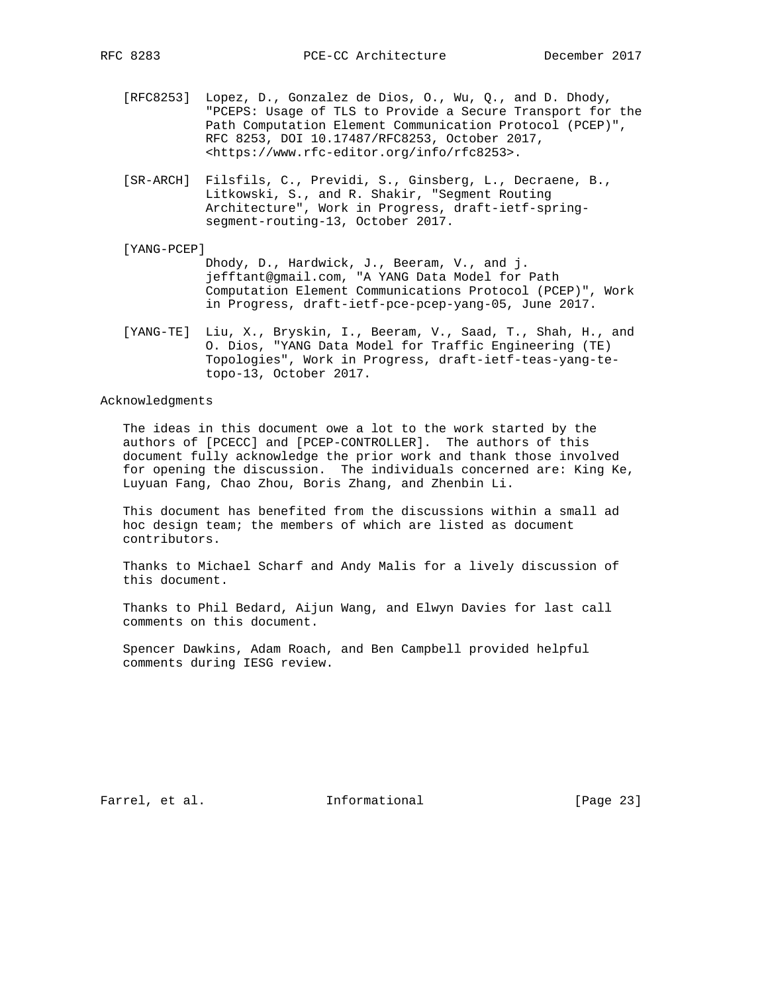- [RFC8253] Lopez, D., Gonzalez de Dios, O., Wu, Q., and D. Dhody, "PCEPS: Usage of TLS to Provide a Secure Transport for the Path Computation Element Communication Protocol (PCEP)", RFC 8253, DOI 10.17487/RFC8253, October 2017, <https://www.rfc-editor.org/info/rfc8253>.
- [SR-ARCH] Filsfils, C., Previdi, S., Ginsberg, L., Decraene, B., Litkowski, S., and R. Shakir, "Segment Routing Architecture", Work in Progress, draft-ietf-spring segment-routing-13, October 2017.
- [YANG-PCEP] Dhody, D., Hardwick, J., Beeram, V., and j. jefftant@gmail.com, "A YANG Data Model for Path Computation Element Communications Protocol (PCEP)", Work in Progress, draft-ietf-pce-pcep-yang-05, June 2017.
- [YANG-TE] Liu, X., Bryskin, I., Beeram, V., Saad, T., Shah, H., and O. Dios, "YANG Data Model for Traffic Engineering (TE) Topologies", Work in Progress, draft-ietf-teas-yang-te topo-13, October 2017.

### Acknowledgments

 The ideas in this document owe a lot to the work started by the authors of [PCECC] and [PCEP-CONTROLLER]. The authors of this document fully acknowledge the prior work and thank those involved for opening the discussion. The individuals concerned are: King Ke, Luyuan Fang, Chao Zhou, Boris Zhang, and Zhenbin Li.

 This document has benefited from the discussions within a small ad hoc design team; the members of which are listed as document contributors.

 Thanks to Michael Scharf and Andy Malis for a lively discussion of this document.

 Thanks to Phil Bedard, Aijun Wang, and Elwyn Davies for last call comments on this document.

 Spencer Dawkins, Adam Roach, and Ben Campbell provided helpful comments during IESG review.

Farrel, et al. 100 mm = Informational [Page 23]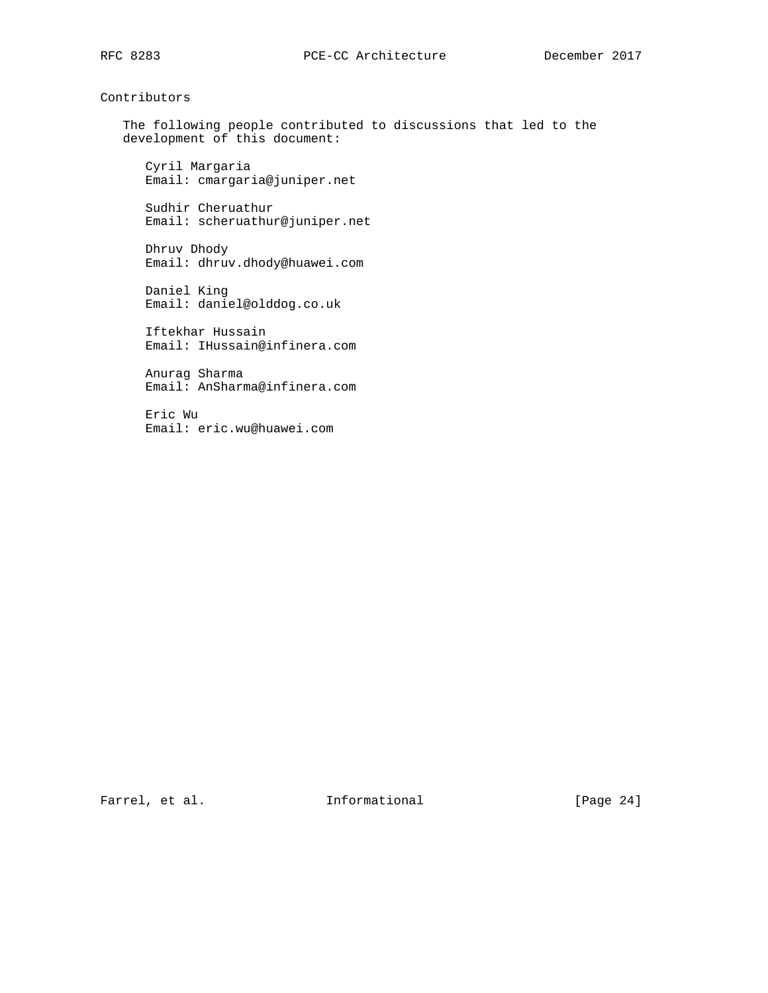Contributors

 The following people contributed to discussions that led to the development of this document:

 Cyril Margaria Email: cmargaria@juniper.net

 Sudhir Cheruathur Email: scheruathur@juniper.net

 Dhruv Dhody Email: dhruv.dhody@huawei.com

 Daniel King Email: daniel@olddog.co.uk

 Iftekhar Hussain Email: IHussain@infinera.com

 Anurag Sharma Email: AnSharma@infinera.com

 Eric Wu Email: eric.wu@huawei.com

Farrel, et al. 1nformational [Page 24]